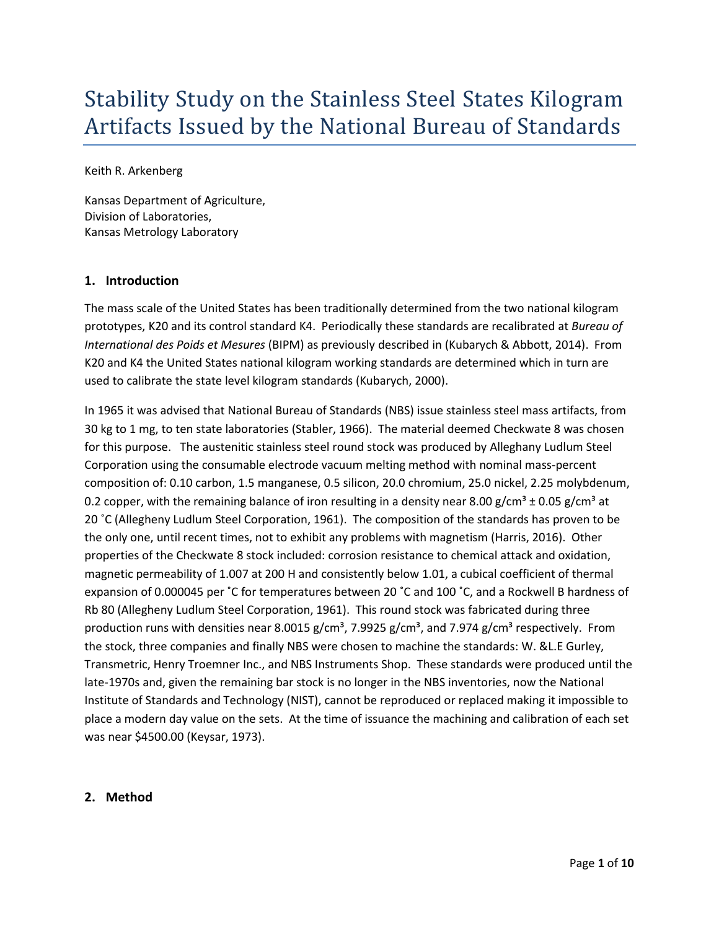# Stability Study on the Stainless Steel States Kilogram Artifacts Issued by the National Bureau of Standards

Keith R. Arkenberg

Kansas Department of Agriculture, Division of Laboratories, Kansas Metrology Laboratory

## **1. Introduction**

The mass scale of the United States has been traditionally determined from the two national kilogram prototypes, K20 and its control standard K4. Periodically these standards are recalibrated at *Bureau of International des Poids et Mesures* (BIPM) as previously described in (Kubarych & Abbott, 2014). From K20 and K4 the United States national kilogram working standards are determined which in turn are used to calibrate the state level kilogram standards (Kubarych, 2000).

In 1965 it was advised that National Bureau of Standards (NBS) issue stainless steel mass artifacts, from 30 kg to 1 mg, to ten state laboratories (Stabler, 1966). The material deemed Checkwate 8 was chosen for this purpose. The austenitic stainless steel round stock was produced by Alleghany Ludlum Steel Corporation using the consumable electrode vacuum melting method with nominal mass-percent composition of: 0.10 carbon, 1.5 manganese, 0.5 silicon, 20.0 chromium, 25.0 nickel, 2.25 molybdenum, 0.2 copper, with the remaining balance of iron resulting in a density near 8.00 g/cm<sup>3</sup> ± 0.05 g/cm<sup>3</sup> at 20 ˚C (Allegheny Ludlum Steel Corporation, 1961). The composition of the standards has proven to be the only one, until recent times, not to exhibit any problems with magnetism (Harris, 2016). Other properties of the Checkwate 8 stock included: corrosion resistance to chemical attack and oxidation, magnetic permeability of 1.007 at 200 H and consistently below 1.01, a cubical coefficient of thermal expansion of 0.000045 per ˚C for temperatures between 20 ˚C and 100 ˚C, and a Rockwell B hardness of Rb 80 (Allegheny Ludlum Steel Corporation, 1961). This round stock was fabricated during three production runs with densities near 8.0015 g/cm<sup>3</sup>, 7.9925 g/cm<sup>3</sup>, and 7.974 g/cm<sup>3</sup> respectively. From the stock, three companies and finally NBS were chosen to machine the standards: W. &L.E Gurley, Transmetric, Henry Troemner Inc., and NBS Instruments Shop. These standards were produced until the late-1970s and, given the remaining bar stock is no longer in the NBS inventories, now the National Institute of Standards and Technology (NIST), cannot be reproduced or replaced making it impossible to place a modern day value on the sets. At the time of issuance the machining and calibration of each set was near \$4500.00 (Keysar, 1973).

#### **2. Method**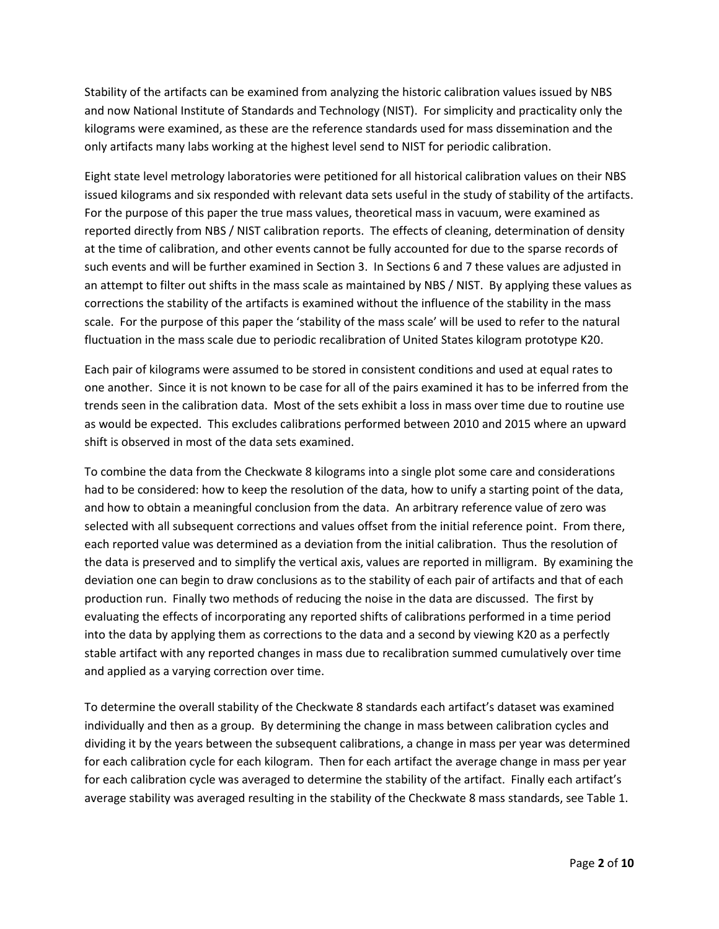Stability of the artifacts can be examined from analyzing the historic calibration values issued by NBS and now National Institute of Standards and Technology (NIST). For simplicity and practicality only the kilograms were examined, as these are the reference standards used for mass dissemination and the only artifacts many labs working at the highest level send to NIST for periodic calibration.

Eight state level metrology laboratories were petitioned for all historical calibration values on their NBS issued kilograms and six responded with relevant data sets useful in the study of stability of the artifacts. For the purpose of this paper the true mass values, theoretical mass in vacuum, were examined as reported directly from NBS / NIST calibration reports. The effects of cleaning, determination of density at the time of calibration, and other events cannot be fully accounted for due to the sparse records of such events and will be further examined in Section [3.](#page-3-0) In Sections [6](#page-4-0) an[d 7](#page-6-0) these values are adjusted in an attempt to filter out shifts in the mass scale as maintained by NBS / NIST. By applying these values as corrections the stability of the artifacts is examined without the influence of the stability in the mass scale. For the purpose of this paper the 'stability of the mass scale' will be used to refer to the natural fluctuation in the mass scale due to periodic recalibration of United States kilogram prototype K20.

Each pair of kilograms were assumed to be stored in consistent conditions and used at equal rates to one another. Since it is not known to be case for all of the pairs examined it has to be inferred from the trends seen in the calibration data. Most of the sets exhibit a loss in mass over time due to routine use as would be expected. This excludes calibrations performed between 2010 and 2015 where an upward shift is observed in most of the data sets examined.

To combine the data from the Checkwate 8 kilograms into a single plot some care and considerations had to be considered: how to keep the resolution of the data, how to unify a starting point of the data, and how to obtain a meaningful conclusion from the data. An arbitrary reference value of zero was selected with all subsequent corrections and values offset from the initial reference point. From there, each reported value was determined as a deviation from the initial calibration. Thus the resolution of the data is preserved and to simplify the vertical axis, values are reported in milligram. By examining the deviation one can begin to draw conclusions as to the stability of each pair of artifacts and that of each production run. Finally two methods of reducing the noise in the data are discussed. The first by evaluating the effects of incorporating any reported shifts of calibrations performed in a time period into the data by applying them as corrections to the data and a second by viewing K20 as a perfectly stable artifact with any reported changes in mass due to recalibration summed cumulatively over time and applied as a varying correction over time.

To determine the overall stability of the Checkwate 8 standards each artifact's dataset was examined individually and then as a group. By determining the change in mass between calibration cycles and dividing it by the years between the subsequent calibrations, a change in mass per year was determined for each calibration cycle for each kilogram. Then for each artifact the average change in mass per year for each calibration cycle was averaged to determine the stability of the artifact. Finally each artifact's average stability was averaged resulting in the stability of the Checkwate 8 mass standards, see Table 1.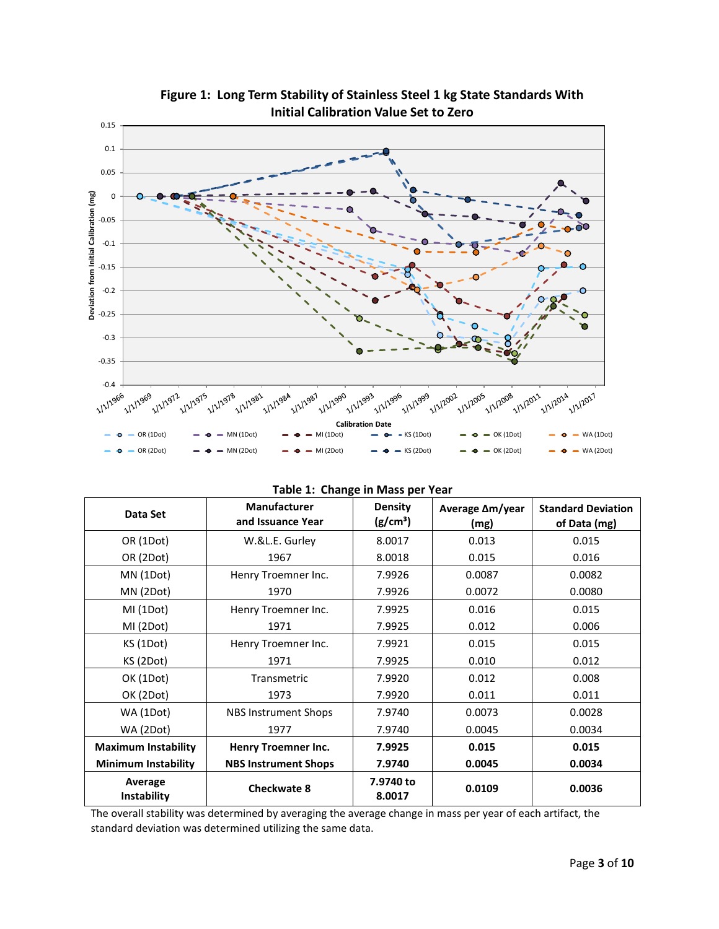

**Figure 1: Long Term Stability of Stainless Steel 1 kg State Standards With Initial Calibration Value Set to Zero**

| Data Set                   | <b>Manufacturer</b><br>and Issuance Year | <b>Density</b><br>(g/cm <sup>3</sup> ) | Average ∆m/year<br>(mg) | <b>Standard Deviation</b><br>of Data (mg) |
|----------------------------|------------------------------------------|----------------------------------------|-------------------------|-------------------------------------------|
| OR (1Dot)                  | W.&L.E. Gurley                           | 8.0017                                 | 0.013                   | 0.015                                     |
| OR (2Dot)                  | 1967                                     | 8.0018                                 | 0.015                   | 0.016                                     |
| MN (1Dot)                  | Henry Troemner Inc.                      | 7.9926                                 | 0.0087                  | 0.0082                                    |
| MN (2Dot)                  | 1970                                     | 7.9926                                 | 0.0072                  | 0.0080                                    |
| MI(1Dot)                   | Henry Troemner Inc.                      | 7.9925                                 | 0.016                   | 0.015                                     |
| MI (2Dot)                  | 1971                                     | 7.9925                                 | 0.012                   | 0.006                                     |
| KS (1Dot)                  | Henry Troemner Inc.                      | 7.9921                                 | 0.015                   | 0.015                                     |
| KS (2Dot)                  | 1971                                     | 7.9925                                 | 0.010                   | 0.012                                     |
| OK (1Dot)                  | Transmetric                              | 7.9920                                 | 0.012                   | 0.008                                     |
| OK (2Dot)                  | 1973                                     | 7.9920                                 | 0.011                   | 0.011                                     |
| WA (1Dot)                  | <b>NBS Instrument Shops</b>              | 7.9740                                 | 0.0073                  | 0.0028                                    |
| WA (2Dot)                  | 1977                                     | 7.9740                                 | 0.0045                  | 0.0034                                    |
| <b>Maximum Instability</b> | Henry Troemner Inc.                      | 7.9925                                 | 0.015                   | 0.015                                     |
| <b>Minimum Instability</b> | <b>NBS Instrument Shops</b>              | 7.9740                                 | 0.0045                  | 0.0034                                    |
| Average<br>Instability     | <b>Checkwate 8</b>                       | 7.9740 to<br>8.0017                    | 0.0109                  | 0.0036                                    |

The overall stability was determined by averaging the average change in mass per year of each artifact, the standard deviation was determined utilizing the same data.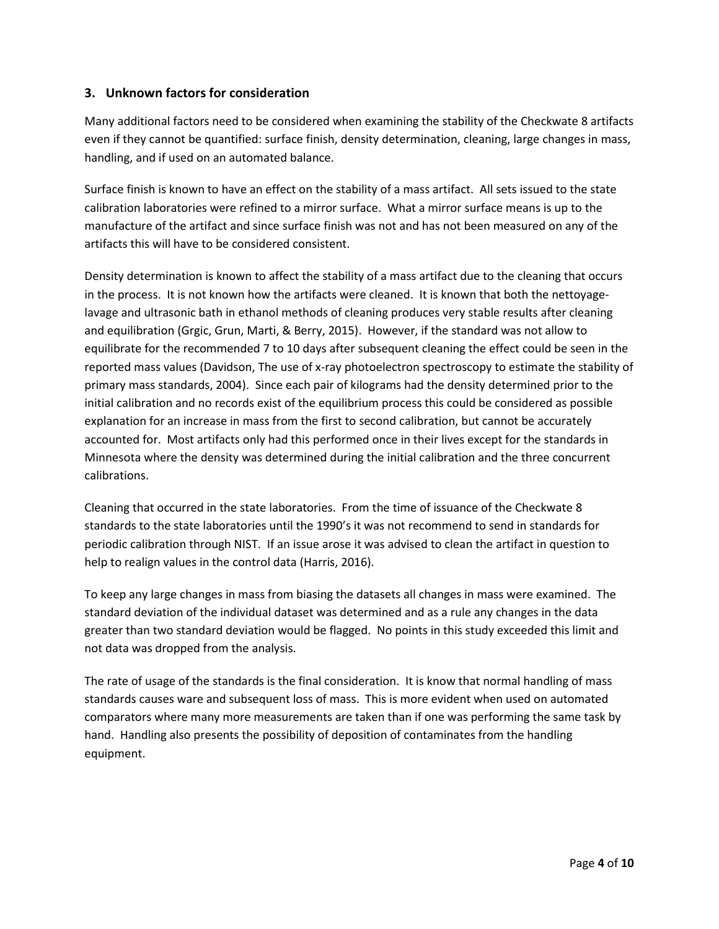## <span id="page-3-0"></span>**3. Unknown factors for consideration**

Many additional factors need to be considered when examining the stability of the Checkwate 8 artifacts even if they cannot be quantified: surface finish, density determination, cleaning, large changes in mass, handling, and if used on an automated balance.

Surface finish is known to have an effect on the stability of a mass artifact. All sets issued to the state calibration laboratories were refined to a mirror surface. What a mirror surface means is up to the manufacture of the artifact and since surface finish was not and has not been measured on any of the artifacts this will have to be considered consistent.

Density determination is known to affect the stability of a mass artifact due to the cleaning that occurs in the process. It is not known how the artifacts were cleaned. It is known that both the nettoyagelavage and ultrasonic bath in ethanol methods of cleaning produces very stable results after cleaning and equilibration (Grgic, Grun, Marti, & Berry, 2015). However, if the standard was not allow to equilibrate for the recommended 7 to 10 days after subsequent cleaning the effect could be seen in the reported mass values (Davidson, The use of x-ray photoelectron spectroscopy to estimate the stability of primary mass standards, 2004). Since each pair of kilograms had the density determined prior to the initial calibration and no records exist of the equilibrium process this could be considered as possible explanation for an increase in mass from the first to second calibration, but cannot be accurately accounted for. Most artifacts only had this performed once in their lives except for the standards in Minnesota where the density was determined during the initial calibration and the three concurrent calibrations.

Cleaning that occurred in the state laboratories. From the time of issuance of the Checkwate 8 standards to the state laboratories until the 1990's it was not recommend to send in standards for periodic calibration through NIST. If an issue arose it was advised to clean the artifact in question to help to realign values in the control data (Harris, 2016).

To keep any large changes in mass from biasing the datasets all changes in mass were examined. The standard deviation of the individual dataset was determined and as a rule any changes in the data greater than two standard deviation would be flagged. No points in this study exceeded this limit and not data was dropped from the analysis.

The rate of usage of the standards is the final consideration. It is know that normal handling of mass standards causes ware and subsequent loss of mass. This is more evident when used on automated comparators where many more measurements are taken than if one was performing the same task by hand. Handling also presents the possibility of deposition of contaminates from the handling equipment.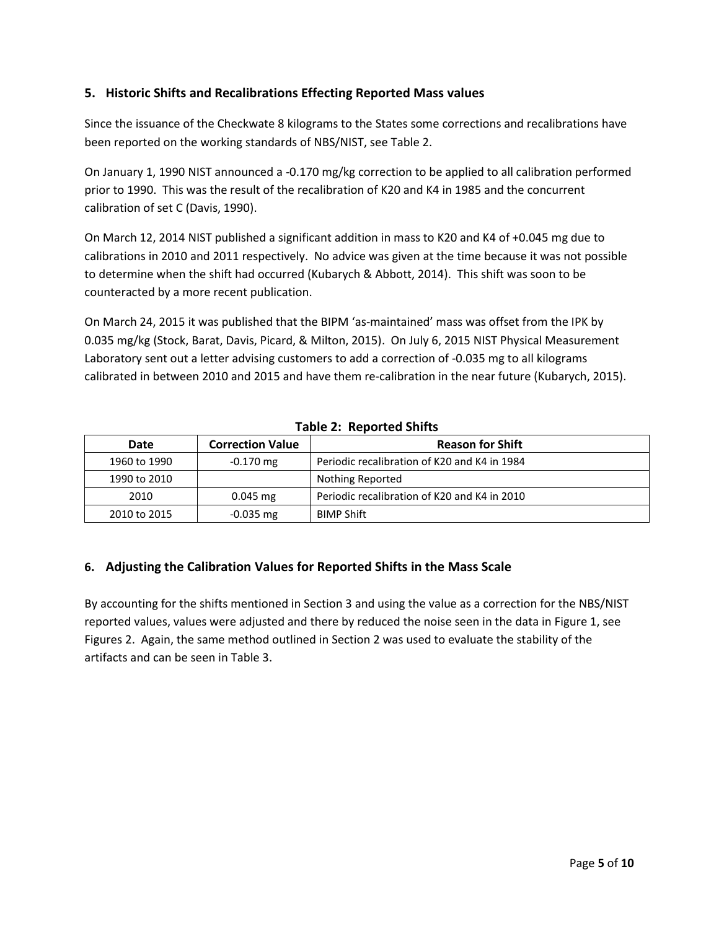## **5. Historic Shifts and Recalibrations Effecting Reported Mass values**

Since the issuance of the Checkwate 8 kilograms to the States some corrections and recalibrations have been reported on the working standards of NBS/NIST, see Table 2.

On January 1, 1990 NIST announced a -0.170 mg/kg correction to be applied to all calibration performed prior to 1990. This was the result of the recalibration of K20 and K4 in 1985 and the concurrent calibration of set C (Davis, 1990).

On March 12, 2014 NIST published a significant addition in mass to K20 and K4 of +0.045 mg due to calibrations in 2010 and 2011 respectively. No advice was given at the time because it was not possible to determine when the shift had occurred (Kubarych & Abbott, 2014). This shift was soon to be counteracted by a more recent publication.

On March 24, 2015 it was published that the BIPM 'as-maintained' mass was offset from the IPK by 0.035 mg/kg (Stock, Barat, Davis, Picard, & Milton, 2015). On July 6, 2015 NIST Physical Measurement Laboratory sent out a letter advising customers to add a correction of -0.035 mg to all kilograms calibrated in between 2010 and 2015 and have them re-calibration in the near future (Kubarych, 2015).

| Date         | <b>Correction Value</b> | <b>Reason for Shift</b>                      |
|--------------|-------------------------|----------------------------------------------|
| 1960 to 1990 | $-0.170$ mg             | Periodic recalibration of K20 and K4 in 1984 |
| 1990 to 2010 |                         | Nothing Reported                             |
| 2010         | $0.045$ mg              | Periodic recalibration of K20 and K4 in 2010 |
| 2010 to 2015 | $-0.035$ mg             | <b>BIMP Shift</b>                            |

## **Table 2: Reported Shifts**

## <span id="page-4-0"></span>**6. Adjusting the Calibration Values for Reported Shifts in the Mass Scale**

By accounting for the shifts mentioned in Section 3 and using the value as a correction for the NBS/NIST reported values, values were adjusted and there by reduced the noise seen in the data in Figure 1, see Figures 2. Again, the same method outlined in Section 2 was used to evaluate the stability of the artifacts and can be seen in Table 3.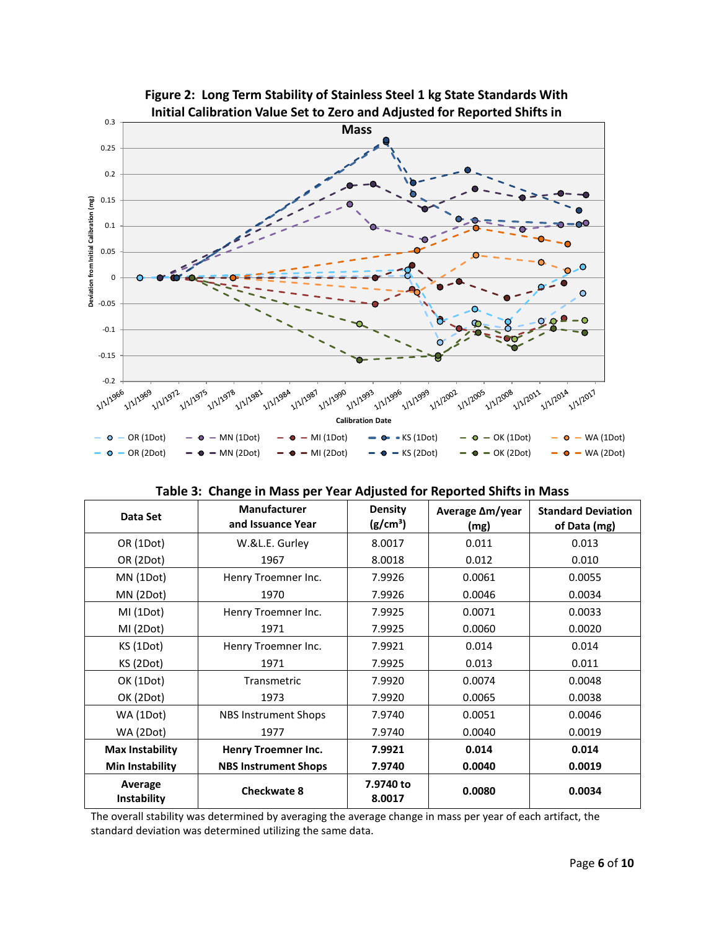

**Figure 2: Long Term Stability of Stainless Steel 1 kg State Standards With** 

| Data Set               | <b>Manufacturer</b><br>and Issuance Year | <b>Density</b><br>(g/cm <sup>3</sup> ) | Average $\Delta m$ /year<br>(mg) | <b>Standard Deviation</b><br>of Data (mg) |
|------------------------|------------------------------------------|----------------------------------------|----------------------------------|-------------------------------------------|
| OR (1Dot)              | W.&L.E. Gurley                           | 8.0017                                 | 0.011                            | 0.013                                     |
| OR (2Dot)              | 1967                                     | 8.0018                                 | 0.012                            | 0.010                                     |
| MN (1Dot)              | Henry Troemner Inc.                      | 7.9926                                 | 0.0061                           | 0.0055                                    |
| MN (2Dot)              | 1970                                     | 7.9926                                 | 0.0046                           | 0.0034                                    |
| MI (1Dot)              | Henry Troemner Inc.                      | 7.9925                                 | 0.0071                           | 0.0033                                    |
| MI (2Dot)              | 1971                                     | 7.9925                                 | 0.0060                           | 0.0020                                    |
| KS (1Dot)              | Henry Troemner Inc.                      | 7.9921                                 | 0.014                            | 0.014                                     |
| KS (2Dot)              | 1971                                     | 7.9925                                 | 0.013                            | 0.011                                     |
| OK (1Dot)              | Transmetric                              | 7.9920                                 | 0.0074                           | 0.0048                                    |
| OK (2Dot)              | 1973                                     | 7.9920                                 | 0.0065                           | 0.0038                                    |
| WA (1Dot)              | <b>NBS Instrument Shops</b>              | 7.9740                                 | 0.0051                           | 0.0046                                    |
| WA (2Dot)              | 1977                                     | 7.9740                                 | 0.0040                           | 0.0019                                    |
| <b>Max Instability</b> | Henry Troemner Inc.                      | 7.9921                                 | 0.014                            | 0.014                                     |
| Min Instability        | <b>NBS Instrument Shops</b>              | 7.9740                                 | 0.0040                           | 0.0019                                    |
| Average<br>Instability | <b>Checkwate 8</b>                       | 7.9740 to<br>8.0017                    | 0.0080                           | 0.0034                                    |

|  |  |  | Table 3: Change in Mass per Year Adjusted for Reported Shifts in Mass |
|--|--|--|-----------------------------------------------------------------------|
|--|--|--|-----------------------------------------------------------------------|

The overall stability was determined by averaging the average change in mass per year of each artifact, the standard deviation was determined utilizing the same data.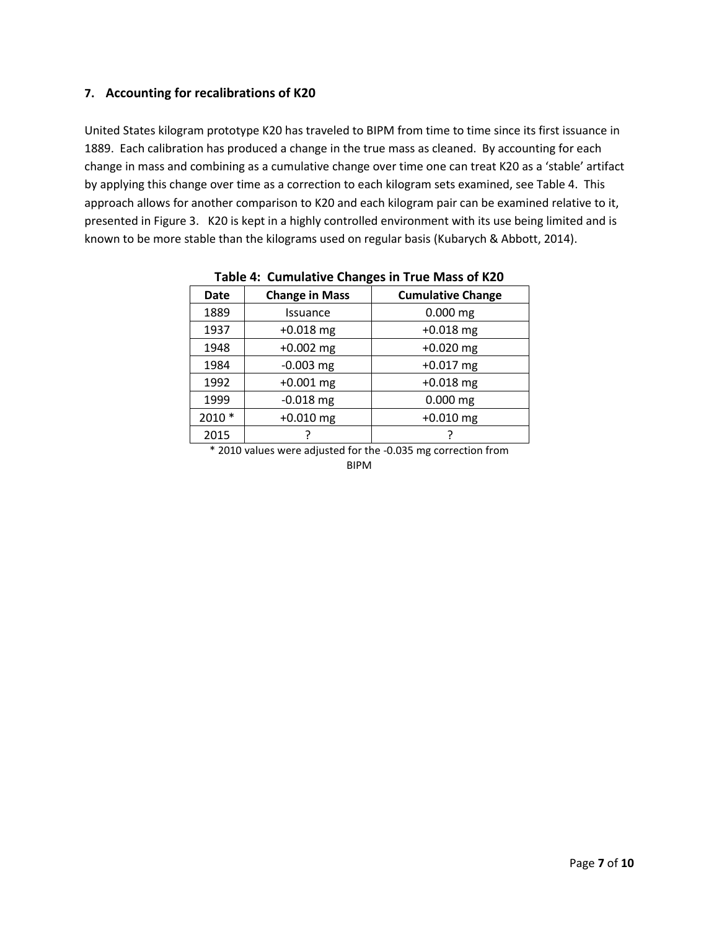#### <span id="page-6-0"></span>**7. Accounting for recalibrations of K20**

United States kilogram prototype K20 has traveled to BIPM from time to time since its first issuance in 1889. Each calibration has produced a change in the true mass as cleaned. By accounting for each change in mass and combining as a cumulative change over time one can treat K20 as a 'stable' artifact by applying this change over time as a correction to each kilogram sets examined, see Table 4. This approach allows for another comparison to K20 and each kilogram pair can be examined relative to it, presented in Figure 3. K20 is kept in a highly controlled environment with its use being limited and is known to be more stable than the kilograms used on regular basis (Kubarych & Abbott, 2014).

| - - 0 - |                       |                          |  |  |  |
|---------|-----------------------|--------------------------|--|--|--|
| Date    | <b>Change in Mass</b> | <b>Cumulative Change</b> |  |  |  |
| 1889    | <b>Issuance</b>       | $0.000$ mg               |  |  |  |
| 1937    | $+0.018$ mg           | $+0.018$ mg              |  |  |  |
| 1948    | $+0.002$ mg           | $+0.020$ mg              |  |  |  |
| 1984    | $-0.003$ mg           | $+0.017$ mg              |  |  |  |
| 1992    | $+0.001$ mg           | $+0.018$ mg              |  |  |  |
| 1999    | $-0.018$ mg           | $0.000$ mg               |  |  |  |
| 2010 *  | $+0.010$ mg           | $+0.010$ mg              |  |  |  |
| 2015    |                       |                          |  |  |  |

**Table 4: Cumulative Changes in True Mass of K20**

\* 2010 values were adjusted for the -0.035 mg correction from BIPM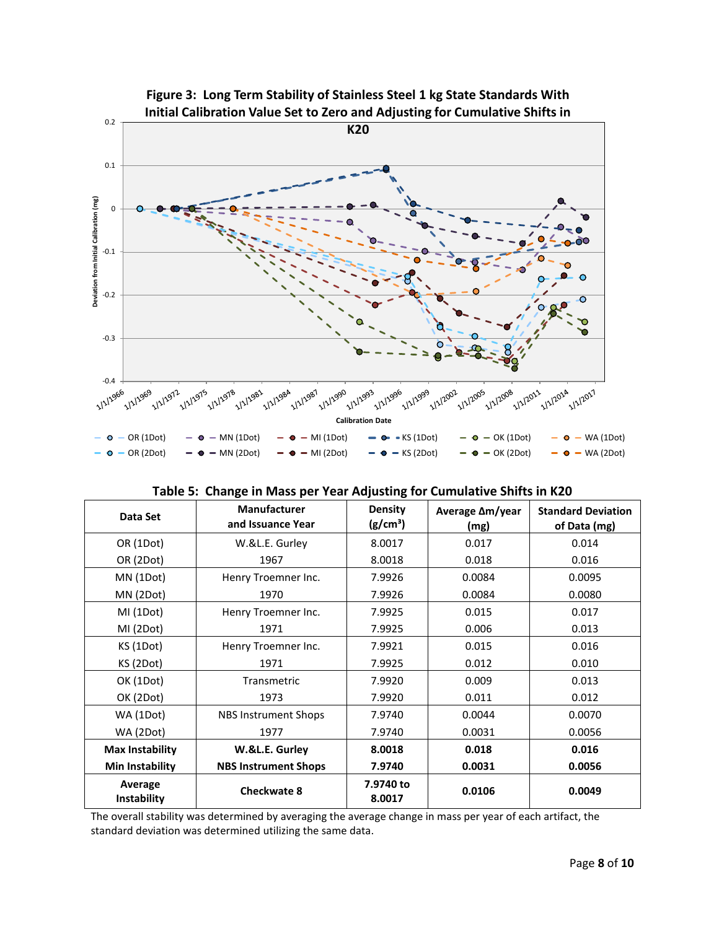

|  |  |  |  |  |  | Table 5: Change in Mass per Year Adjusting for Cumulative Shifts in K20 |
|--|--|--|--|--|--|-------------------------------------------------------------------------|
|--|--|--|--|--|--|-------------------------------------------------------------------------|

| Data Set               | <b>Manufacturer</b><br>and Issuance Year | <b>Density</b><br>(g/cm <sup>3</sup> ) | Average $\Delta m$ /year<br>(mg) | <b>Standard Deviation</b><br>of Data (mg) |
|------------------------|------------------------------------------|----------------------------------------|----------------------------------|-------------------------------------------|
| OR (1Dot)              | W.&L.E. Gurley                           | 8.0017                                 | 0.017                            | 0.014                                     |
| OR (2Dot)              | 1967                                     | 8.0018                                 | 0.018                            | 0.016                                     |
| MN (1Dot)              | Henry Troemner Inc.                      | 7.9926                                 | 0.0084                           | 0.0095                                    |
| MN (2Dot)              | 1970                                     | 7.9926                                 | 0.0084                           | 0.0080                                    |
| MI (1Dot)              | Henry Troemner Inc.                      | 7.9925                                 | 0.015                            | 0.017                                     |
| MI (2Dot)              | 1971                                     | 7.9925                                 | 0.006                            | 0.013                                     |
| KS (1Dot)              | Henry Troemner Inc.                      | 7.9921                                 | 0.015                            | 0.016                                     |
| KS (2Dot)              | 1971                                     | 7.9925                                 | 0.012                            | 0.010                                     |
| OK (1Dot)              | Transmetric                              | 7.9920                                 | 0.009                            | 0.013                                     |
| OK (2Dot)              | 1973                                     | 7.9920                                 | 0.011                            | 0.012                                     |
| WA (1Dot)              | NBS Instrument Shops                     | 7.9740                                 | 0.0044                           | 0.0070                                    |
| WA (2Dot)              | 1977                                     | 7.9740                                 | 0.0031                           | 0.0056                                    |
| Max Instability        | W.&L.E. Gurley                           | 8.0018                                 | 0.018                            | 0.016                                     |
| Min Instability        | <b>NBS Instrument Shops</b>              | 7.9740                                 | 0.0031                           | 0.0056                                    |
| Average<br>Instability | <b>Checkwate 8</b>                       | 7.9740 to<br>8.0017                    | 0.0106                           | 0.0049                                    |

The overall stability was determined by averaging the average change in mass per year of each artifact, the standard deviation was determined utilizing the same data.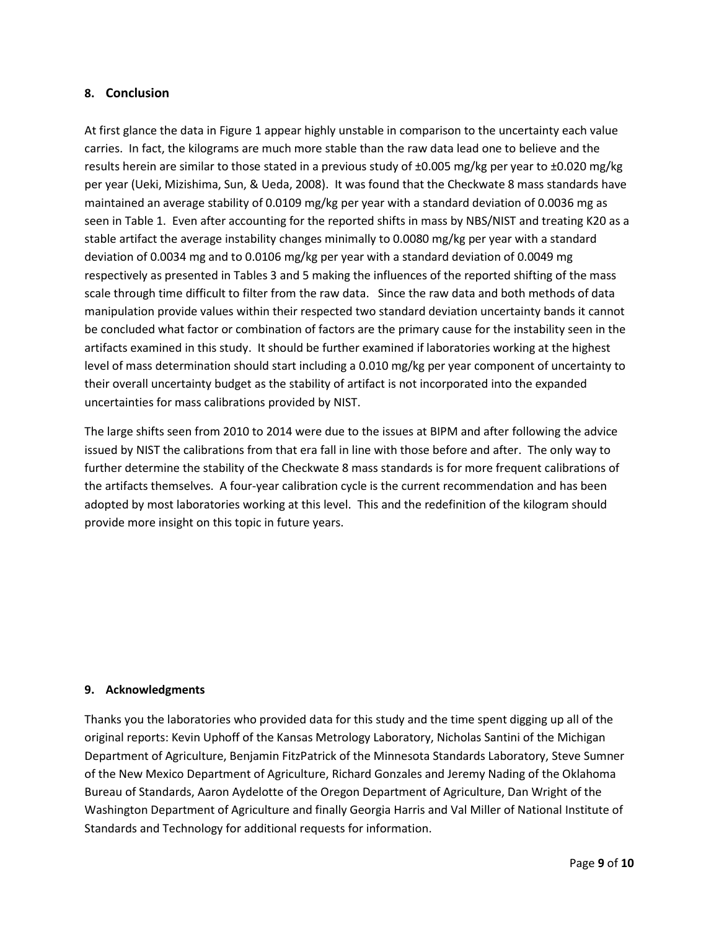#### **8. Conclusion**

At first glance the data in Figure 1 appear highly unstable in comparison to the uncertainty each value carries. In fact, the kilograms are much more stable than the raw data lead one to believe and the results herein are similar to those stated in a previous study of ±0.005 mg/kg per year to ±0.020 mg/kg per year (Ueki, Mizishima, Sun, & Ueda, 2008). It was found that the Checkwate 8 mass standards have maintained an average stability of 0.0109 mg/kg per year with a standard deviation of 0.0036 mg as seen in Table 1. Even after accounting for the reported shifts in mass by NBS/NIST and treating K20 as a stable artifact the average instability changes minimally to 0.0080 mg/kg per year with a standard deviation of 0.0034 mg and to 0.0106 mg/kg per year with a standard deviation of 0.0049 mg respectively as presented in Tables 3 and 5 making the influences of the reported shifting of the mass scale through time difficult to filter from the raw data. Since the raw data and both methods of data manipulation provide values within their respected two standard deviation uncertainty bands it cannot be concluded what factor or combination of factors are the primary cause for the instability seen in the artifacts examined in this study. It should be further examined if laboratories working at the highest level of mass determination should start including a 0.010 mg/kg per year component of uncertainty to their overall uncertainty budget as the stability of artifact is not incorporated into the expanded uncertainties for mass calibrations provided by NIST.

The large shifts seen from 2010 to 2014 were due to the issues at BIPM and after following the advice issued by NIST the calibrations from that era fall in line with those before and after. The only way to further determine the stability of the Checkwate 8 mass standards is for more frequent calibrations of the artifacts themselves. A four-year calibration cycle is the current recommendation and has been adopted by most laboratories working at this level. This and the redefinition of the kilogram should provide more insight on this topic in future years.

#### **9. Acknowledgments**

Thanks you the laboratories who provided data for this study and the time spent digging up all of the original reports: Kevin Uphoff of the Kansas Metrology Laboratory, Nicholas Santini of the Michigan Department of Agriculture, Benjamin FitzPatrick of the Minnesota Standards Laboratory, Steve Sumner of the New Mexico Department of Agriculture, Richard Gonzales and Jeremy Nading of the Oklahoma Bureau of Standards, Aaron Aydelotte of the Oregon Department of Agriculture, Dan Wright of the Washington Department of Agriculture and finally Georgia Harris and Val Miller of National Institute of Standards and Technology for additional requests for information.